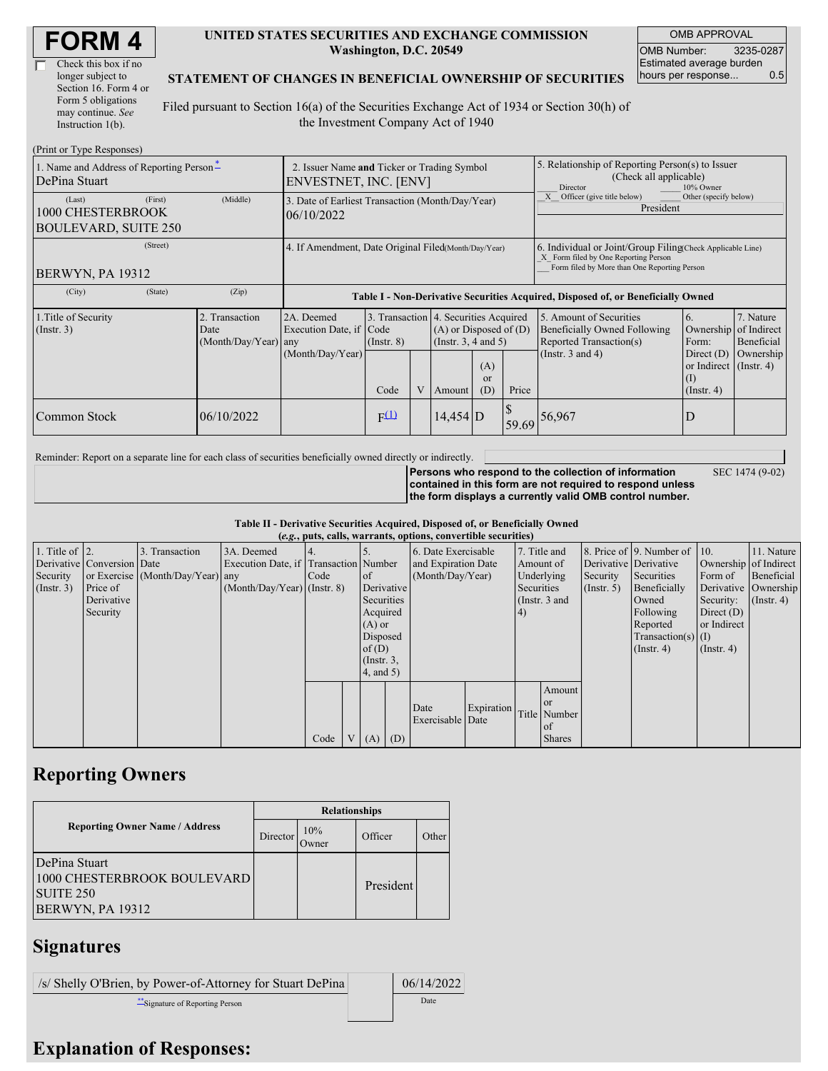| <b>FORM4</b> |
|--------------|
|--------------|

| Check this box if no  |  |
|-----------------------|--|
| longer subject to     |  |
| Section 16. Form 4 or |  |
| Form 5 obligations    |  |
| may continue. See     |  |
| Instruction 1(b).     |  |

#### **UNITED STATES SECURITIES AND EXCHANGE COMMISSION Washington, D.C. 20549**

OMB APPROVAL OMB Number: 3235-0287 Estimated average burden hours per response... 0.5

SEC 1474 (9-02)

#### **STATEMENT OF CHANGES IN BENEFICIAL OWNERSHIP OF SECURITIES**

Filed pursuant to Section 16(a) of the Securities Exchange Act of 1934 or Section 30(h) of the Investment Company Act of 1940

| (Print or Type Responses)                                             |                                                                                                                                                                                                                                                                                         |                                                                                  |                  |                                                                                                             |                                                                                                     |                                                     |                                                                                                                                                    |              |  |  |
|-----------------------------------------------------------------------|-----------------------------------------------------------------------------------------------------------------------------------------------------------------------------------------------------------------------------------------------------------------------------------------|----------------------------------------------------------------------------------|------------------|-------------------------------------------------------------------------------------------------------------|-----------------------------------------------------------------------------------------------------|-----------------------------------------------------|----------------------------------------------------------------------------------------------------------------------------------------------------|--------------|--|--|
| 1. Name and Address of Reporting Person-<br>DePina Stuart             | 2. Issuer Name and Ticker or Trading Symbol<br>ENVESTNET, INC. [ENV]                                                                                                                                                                                                                    |                                                                                  |                  |                                                                                                             |                                                                                                     |                                                     | 5. Relationship of Reporting Person(s) to Issuer<br>(Check all applicable)<br>10% Owner<br>Director                                                |              |  |  |
| (First)<br>(Last)<br>1000 CHESTERBROOK<br><b>BOULEVARD, SUITE 250</b> | (Middle)                                                                                                                                                                                                                                                                                | 3. Date of Earliest Transaction (Month/Day/Year)<br>06/10/2022                   |                  |                                                                                                             |                                                                                                     |                                                     | Officer (give title below)<br>Other (specify below)<br>President                                                                                   |              |  |  |
| (Street)<br><b>BERWYN, PA 19312</b>                                   | 4. If Amendment, Date Original Filed(Month/Day/Year)                                                                                                                                                                                                                                    |                                                                                  |                  |                                                                                                             |                                                                                                     |                                                     | 6. Individual or Joint/Group Filing Check Applicable Line)<br>X Form filed by One Reporting Person<br>Form filed by More than One Reporting Person |              |  |  |
| (City)<br>(State)                                                     | (Zip)                                                                                                                                                                                                                                                                                   | Table I - Non-Derivative Securities Acquired, Disposed of, or Beneficially Owned |                  |                                                                                                             |                                                                                                     |                                                     |                                                                                                                                                    |              |  |  |
| 1. Title of Security<br>$($ Instr. 3 $)$                              | 3. Transaction 4. Securities Acquired<br>2. Transaction<br>2A. Deemed<br>Execution Date, if Code<br>$(A)$ or Disposed of $(D)$<br>Date<br>(Month/Day/Year) any<br>(Instr. $3, 4$ and $5$ )<br>$($ Instr. $8)$<br>(Month/Day/Year)<br>(A)<br><sub>or</sub><br>V<br>Code<br>(D)<br>Amount |                                                                                  | Price            | 5. Amount of Securities<br>Beneficially Owned Following<br>Reported Transaction(s)<br>(Instr. $3$ and $4$ ) | 6.<br>Ownership<br>Form:<br>Direct $(D)$<br>or Indirect $($ Instr. 4 $)$<br>(1)<br>$($ Instr. 4 $)$ | 7. Nature<br>of Indirect<br>Beneficial<br>Ownership |                                                                                                                                                    |              |  |  |
| Common Stock                                                          | 06/10/2022                                                                                                                                                                                                                                                                              |                                                                                  | F <sup>(1)</sup> |                                                                                                             | $14.454$ D                                                                                          |                                                     |                                                                                                                                                    | 59.69 56,967 |  |  |

Reminder: Report on a separate line for each class of securities beneficially owned directly or indirectly.

**Persons who respond to the collection of information contained in this form are not required to respond unless the form displays a currently valid OMB control number.**

**Table II - Derivative Securities Acquired, Disposed of, or Beneficially Owned**

|                        | (e.g., puts, calls, warrants, options, convertible securities) |                                  |                                       |      |  |                 |            |                     |            |    |               |              |                              |                       |               |
|------------------------|----------------------------------------------------------------|----------------------------------|---------------------------------------|------|--|-----------------|------------|---------------------|------------|----|---------------|--------------|------------------------------|-----------------------|---------------|
| 1. Title of $\vert$ 2. |                                                                | 3. Transaction                   | 3A. Deemed                            |      |  |                 |            | 6. Date Exercisable |            |    | 7. Title and  |              | 8. Price of 9. Number of 10. |                       | 11. Nature    |
|                        | Derivative Conversion Date                                     |                                  | Execution Date, if Transaction Number |      |  |                 |            | and Expiration Date |            |    | Amount of     |              | Derivative Derivative        | Ownership of Indirect |               |
| Security               |                                                                | or Exercise (Month/Day/Year) any |                                       | Code |  | <sub>of</sub>   |            | (Month/Day/Year)    |            |    | Underlying    | Security     | Securities                   | Form of               | Beneficial    |
| $($ Instr. 3 $)$       | Price of                                                       |                                  | $(Month/Day/Year)$ (Instr. 8)         |      |  |                 | Derivative |                     | Securities |    | (Insert, 5)   | Beneficially |                              | Derivative Ownership  |               |
|                        | Derivative                                                     |                                  |                                       |      |  | Securities      |            |                     |            |    | (Instr. 3 and |              | Owned                        | Security:             | $($ Instr. 4) |
|                        | Security                                                       |                                  |                                       |      |  | Acquired        |            |                     |            | 4) |               |              | Following                    | Direct $(D)$          |               |
|                        |                                                                |                                  |                                       |      |  | $(A)$ or        |            |                     |            |    |               |              | Reported                     | or Indirect           |               |
|                        |                                                                |                                  |                                       |      |  | Disposed        |            |                     |            |    |               |              | $Transaction(s)$ (I)         |                       |               |
|                        |                                                                |                                  |                                       |      |  | of $(D)$        |            |                     |            |    |               |              | $($ Instr. 4 $)$             | $($ Instr. 4 $)$      |               |
|                        |                                                                |                                  |                                       |      |  | $($ Instr. $3,$ |            |                     |            |    |               |              |                              |                       |               |
|                        |                                                                |                                  |                                       |      |  | $4$ , and $5$ ) |            |                     |            |    |               |              |                              |                       |               |
|                        |                                                                |                                  |                                       |      |  |                 |            |                     |            |    | Amount        |              |                              |                       |               |
|                        |                                                                |                                  |                                       |      |  |                 |            |                     |            |    | <b>or</b>     |              |                              |                       |               |
|                        |                                                                |                                  |                                       |      |  |                 |            | Date                | Expiration |    | Title Number  |              |                              |                       |               |
|                        |                                                                |                                  |                                       |      |  |                 |            | Exercisable Date    |            |    | of            |              |                              |                       |               |
|                        |                                                                |                                  |                                       | Code |  | V(A)            | (D)        |                     |            |    | <b>Shares</b> |              |                              |                       |               |

## **Reporting Owners**

|                                                                                             | <b>Relationships</b> |               |           |       |  |  |  |  |
|---------------------------------------------------------------------------------------------|----------------------|---------------|-----------|-------|--|--|--|--|
| <b>Reporting Owner Name / Address</b>                                                       | Director             | 10%<br>Dwner: | Officer   | Other |  |  |  |  |
| DePina Stuart<br>1000 CHESTERBROOK BOULEVARD<br><b>SUITE 250</b><br><b>BERWYN, PA 19312</b> |                      |               | President |       |  |  |  |  |

# **Signatures**

/s/ Shelly O'Brien, by Power-of-Attorney for Stuart DePina 06/14/2022 \*\*Signature of Reporting Person Date

## **Explanation of Responses:**